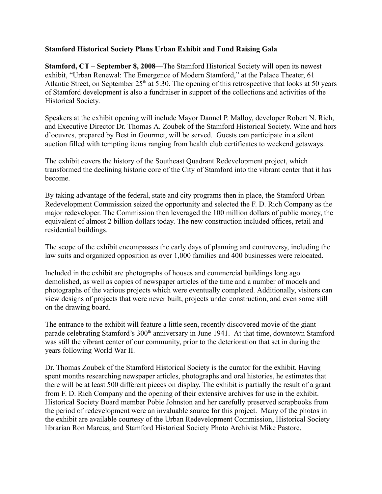## **Stamford Historical Society Plans Urban Exhibit and Fund Raising Gala**

**Stamford, CT – September 8, 2008—**The Stamford Historical Society will open its newest exhibit, "Urban Renewal: The Emergence of Modern Stamford," at the Palace Theater, 61 Atlantic Street, on September  $25<sup>th</sup>$  at 5:30. The opening of this retrospective that looks at 50 years of Stamford development is also a fundraiser in support of the collections and activities of the Historical Society.

Speakers at the exhibit opening will include Mayor Dannel P. Malloy, developer Robert N. Rich, and Executive Director Dr. Thomas A. Zoubek of the Stamford Historical Society. Wine and hors d'oeuvres, prepared by Best in Gourmet, will be served. Guests can participate in a silent auction filled with tempting items ranging from health club certificates to weekend getaways.

The exhibit covers the history of the Southeast Quadrant Redevelopment project, which transformed the declining historic core of the City of Stamford into the vibrant center that it has become.

By taking advantage of the federal, state and city programs then in place, the Stamford Urban Redevelopment Commission seized the opportunity and selected the F. D. Rich Company as the major redeveloper. The Commission then leveraged the 100 million dollars of public money, the equivalent of almost 2 billion dollars today. The new construction included offices, retail and residential buildings.

The scope of the exhibit encompasses the early days of planning and controversy, including the law suits and organized opposition as over 1,000 families and 400 businesses were relocated.

Included in the exhibit are photographs of houses and commercial buildings long ago demolished, as well as copies of newspaper articles of the time and a number of models and photographs of the various projects which were eventually completed. Additionally, visitors can view designs of projects that were never built, projects under construction, and even some still on the drawing board.

The entrance to the exhibit will feature a little seen, recently discovered movie of the giant parade celebrating Stamford's 300<sup>th</sup> anniversary in June 1941. At that time, downtown Stamford was still the vibrant center of our community, prior to the deterioration that set in during the years following World War II.

Dr. Thomas Zoubek of the Stamford Historical Society is the curator for the exhibit. Having spent months researching newspaper articles, photographs and oral histories, he estimates that there will be at least 500 different pieces on display. The exhibit is partially the result of a grant from F. D. Rich Company and the opening of their extensive archives for use in the exhibit. Historical Society Board member Pobie Johnston and her carefully preserved scrapbooks from the period of redevelopment were an invaluable source for this project. Many of the photos in the exhibit are available courtesy of the Urban Redevelopment Commission, Historical Society librarian Ron Marcus, and Stamford Historical Society Photo Archivist Mike Pastore.